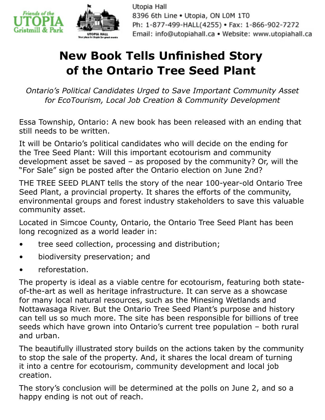

Utopia Hall 8396 6th Line . Utopia, ON LOM 1T0 Ph: 1-877-499-HALL(4255) · Fax: 1-866-902-7272 Email: info@utopiahall.ca · Website: www.utopiahall.ca

## **New Book Tells Unfinished Story of the Ontario Tree Seed Plant**

*Ontario's Political Candidates Urged to Save Important Community Asset for EcoTourism, Local Job Creation & Community Development*

Essa Township, Ontario: A new book has been released with an ending that still needs to be written.

It will be Ontario's political candidates who will decide on the ending for the Tree Seed Plant: Will this important ecotourism and community development asset be saved  $-$  as proposed by the community? Or, will the "For Sale" sign be posted after the Ontario election on June 2nd?

THE TREE SEED PLANT tells the story of the near 100-year-old Ontario Tree Seed Plant, a provincial property. It shares the efforts of the community, environmental groups and forest industry stakeholders to save this valuable community asset.

Located in Simcoe County, Ontario, the Ontario Tree Seed Plant has been long recognized as a world leader in:

- tree seed collection, processing and distribution;
- biodiversity preservation; and
- reforestation.

The property is ideal as a viable centre for ecotourism, featuring both stateof-the-art as well as heritage infrastructure. It can serve as a showcase for many local natural resources, such as the Minesing Wetlands and Nottawasaga River. But the Ontario Tree Seed Plant's purpose and history can tell us so much more. The site has been responsible for billions of tree seeds which have grown into Ontario's current tree population – both rural and urban.

The beautifully illustrated story builds on the actions taken by the community to stop the sale of the property. And, it shares the local dream of turning it into a centre for ecotourism, community development and local job creation.

The story's conclusion will be determined at the polls on June 2, and so a happy ending is not out of reach.